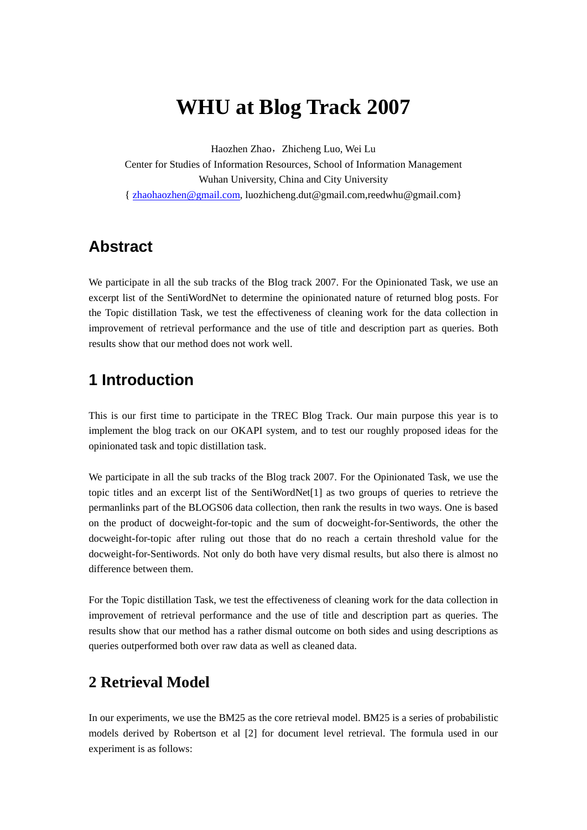# **WHU at Blog Track 2007**

Haozhen Zhao, Zhicheng Luo, Wei Lu

Center for Studies of Information Resources, School of Information Management Wuhan University, China and City University { zhaohaozhen@gmail.com, luozhicheng.dut@gmail.com,reedwhu@gmail.com}

## **Abstract**

We participate in all the sub tracks of the Blog track 2007. For the Opinionated Task, we use an excerpt list of the SentiWordNet to determine the opinionated nature of returned blog posts. For the Topic distillation Task, we test the effectiveness of cleaning work for the data collection in improvement of retrieval performance and the use of title and description part as queries. Both results show that our method does not work well.

## **1 Introduction**

This is our first time to participate in the TREC Blog Track. Our main purpose this year is to implement the blog track on our OKAPI system, and to test our roughly proposed ideas for the opinionated task and topic distillation task.

We participate in all the sub tracks of the Blog track 2007. For the Opinionated Task, we use the topic titles and an excerpt list of the SentiWordNet[1] as two groups of queries to retrieve the permanlinks part of the BLOGS06 data collection, then rank the results in two ways. One is based on the product of docweight-for-topic and the sum of docweight-for-Sentiwords, the other the docweight-for-topic after ruling out those that do no reach a certain threshold value for the docweight-for-Sentiwords. Not only do both have very dismal results, but also there is almost no difference between them.

For the Topic distillation Task, we test the effectiveness of cleaning work for the data collection in improvement of retrieval performance and the use of title and description part as queries. The results show that our method has a rather dismal outcome on both sides and using descriptions as queries outperformed both over raw data as well as cleaned data.

### **2 Retrieval Model**

In our experiments, we use the BM25 as the core retrieval model. BM25 is a series of probabilistic models derived by Robertson et al [2] for document level retrieval. The formula used in our experiment is as follows: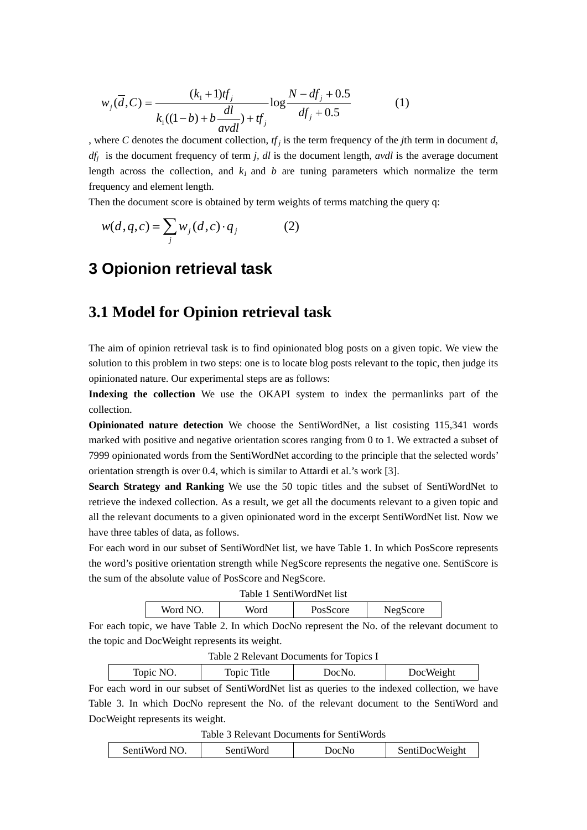$$
w_j(\overline{d}, C) = \frac{(k_1 + 1)tf_j}{k_1((1 - b) + b\frac{dl}{avdl}) + tf_j} \log \frac{N - df_j + 0.5}{df_j + 0.5}
$$
(1)

, where *C* denotes the document collection,  $tf_j$  is the term frequency of the *j*th term in document *d*, *dfj* is the document frequency of term *j, dl* is the document length, *avdl* is the average document length across the collection, and  $k_l$  and  $b$  are tuning parameters which normalize the term frequency and element length.

Then the document score is obtained by term weights of terms matching the query q:

$$
w(d,q,c) = \sum_{j} w_j(d,c) \cdot q_j \tag{2}
$$

## **3 Opionion retrieval task**

#### **3.1 Model for Opinion retrieval task**

The aim of opinion retrieval task is to find opinionated blog posts on a given topic. We view the solution to this problem in two steps: one is to locate blog posts relevant to the topic, then judge its opinionated nature. Our experimental steps are as follows:

**Indexing the collection** We use the OKAPI system to index the permanlinks part of the collection.

**Opinionated nature detection** We choose the SentiWordNet, a list cosisting 115,341 words marked with positive and negative orientation scores ranging from 0 to 1. We extracted a subset of 7999 opinionated words from the SentiWordNet according to the principle that the selected words' orientation strength is over 0.4, which is similar to Attardi et al.'s work [3].

**Search Strategy and Ranking** We use the 50 topic titles and the subset of SentiWordNet to retrieve the indexed collection. As a result, we get all the documents relevant to a given topic and all the relevant documents to a given opinionated word in the excerpt SentiWordNet list. Now we have three tables of data, as follows.

For each word in our subset of SentiWordNet list, we have Table 1. In which PosScore represents the word's positive orientation strength while NegScore represents the negative one. SentiScore is the sum of the absolute value of PosScore and NegScore.

| Table 1 SentiWordNet list |      |          |          |  |
|---------------------------|------|----------|----------|--|
| Word NO.                  | Word | PosScore | NegScore |  |

For each topic, we have Table 2. In which DocNo represent the No. of the relevant document to the topic and DocWeight represents its weight.

| Table 2 Relevant Documents for Topics I         |  |  |  |  |  |
|-------------------------------------------------|--|--|--|--|--|
| Topic Title<br>Topic NO.<br>DocWeight<br>DocNo. |  |  |  |  |  |

For each word in our subset of SentiWordNet list as queries to the indexed collection, we have Table 3. In which DocNo represent the No. of the relevant document to the SentiWord and DocWeight represents its weight.

Table 3 Relevant Documents for SentiWords

| SentiWord NO.<br>Senti Word | DocNo | SentiDocWeight |
|-----------------------------|-------|----------------|
|-----------------------------|-------|----------------|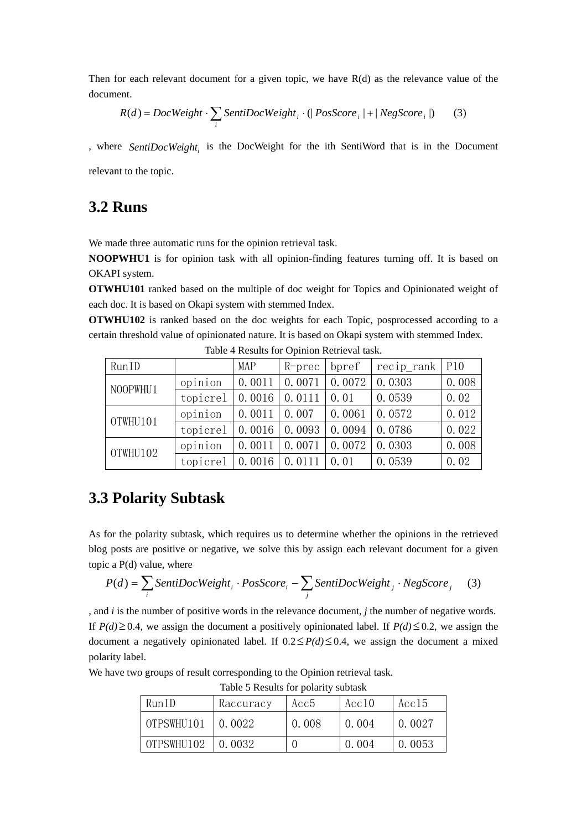Then for each relevant document for a given topic, we have  $R(d)$  as the relevance value of the document.

$$
R(d) = DocWeight \cdot \sum_{i} SentiDocWeight_i \cdot (|PosScore_i| + |NegScore_i|)
$$
 (3)

, where *SentiDocWeight*, is the DocWeight for the ith SentiWord that is in the Document relevant to the topic.

#### **3.2 Runs**

We made three automatic runs for the opinion retrieval task.

**NOOPWHU1** is for opinion task with all opinion-finding features turning off. It is based on OKAPI system.

**OTWHU101** ranked based on the multiple of doc weight for Topics and Opinionated weight of each doc. It is based on Okapi system with stemmed Index.

**OTWHU102** is ranked based on the doc weights for each Topic, posprocessed according to a certain threshold value of opinionated nature. It is based on Okapi system with stemmed Index.

| RunID    |          | MAP    | $R$ -prec | bpref  | $recip$ $rank$ | P10   |
|----------|----------|--------|-----------|--------|----------------|-------|
| NOOPWHU1 | opinion  | 0.0011 | 0.0071    | 0.0072 | 0.0303         | 0.008 |
|          | topicrel | 0.0016 | 0.0111    | 0.01   | 0.0539         | 0.02  |
| OTWHU101 | opinion  | 0.0011 | 0.007     | 0.0061 | 0.0572         | 0.012 |
|          | topicrel | 0.0016 | 0.0093    | 0.0094 | 0.0786         | 0.022 |
| OTWHU102 | opinion  | 0.0011 | 0.0071    | 0.0072 | 0.0303         | 0.008 |
|          | topicrel | 0.0016 | 0.0111    | 0.01   | 0.0539         | 0.02  |

Table 4 Results for Opinion Retrieval task.

#### **3.3 Polarity Subtask**

As for the polarity subtask, which requires us to determine whether the opinions in the retrieved blog posts are positive or negative, we solve this by assign each relevant document for a given topic a P(d) value, where

$$
P(d) = \sum_{i} SentiDocWeight_i \cdot PosScore_i - \sum_{j} SentiDocWeight_j \cdot NegScore_j \quad (3)
$$

, and *i* is the number of positive words in the relevance document, *j* the number of negative words. If *P(d)*≥0.4, we assign the document a positively opinionated label. If *P(d)*≤0.2, we assign the document a negatively opinionated label. If  $0.2 \leq P(d) \leq 0.4$ , we assign the document a mixed polarity label.

We have two groups of result corresponding to the Opinion retrieval task.

| RunID               | Raccuracy | Acc5  | Acc10 | Acc15  |
|---------------------|-----------|-------|-------|--------|
| OTPSWHU101   0.0022 |           | 0.008 | 0.004 | 0.0027 |
| OTPSWHU102          | 0.0032    |       | 0.004 | 0.0053 |

Table 5 Results for polarity subtask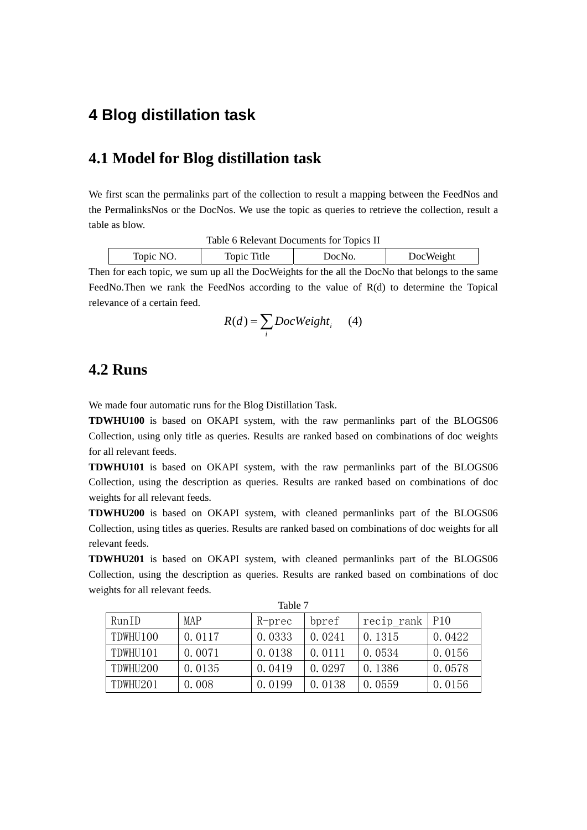### **4 Blog distillation task**

#### **4.1 Model for Blog distillation task**

We first scan the permalinks part of the collection to result a mapping between the FeedNos and the PermalinksNos or the DocNos. We use the topic as queries to retrieve the collection, result a table as blow.

| Table 6 Relevant Documents for Topics II        |  |  |  |  |  |  |
|-------------------------------------------------|--|--|--|--|--|--|
| Topic Title<br>DocWeight<br>Topic NO.<br>DocNo. |  |  |  |  |  |  |

Then for each topic, we sum up all the DocWeights for the all the DocNo that belongs to the same FeedNo.Then we rank the FeedNos according to the value of R(d) to determine the Topical relevance of a certain feed.

$$
R(d) = \sum_{i} DocWeight_{i} \qquad (4)
$$

#### **4.2 Runs**

We made four automatic runs for the Blog Distillation Task.

**TDWHU100** is based on OKAPI system, with the raw permanlinks part of the BLOGS06 Collection, using only title as queries. Results are ranked based on combinations of doc weights for all relevant feeds.

**TDWHU101** is based on OKAPI system, with the raw permanlinks part of the BLOGS06 Collection, using the description as queries. Results are ranked based on combinations of doc weights for all relevant feeds.

**TDWHU200** is based on OKAPI system, with cleaned permanlinks part of the BLOGS06 Collection, using titles as queries. Results are ranked based on combinations of doc weights for all relevant feeds.

**TDWHU201** is based on OKAPI system, with cleaned permanlinks part of the BLOGS06 Collection, using the description as queries. Results are ranked based on combinations of doc weights for all relevant feeds.

| Table 7  |        |        |        |                    |        |  |
|----------|--------|--------|--------|--------------------|--------|--|
| RunID    | MAP    | R-prec | bpref  | $recip$ rank   P10 |        |  |
| TDWHU100 | 0.0117 | 0.0333 | 0.0241 | 0.1315             | 0.0422 |  |
| TDWHU101 | 0.0071 | 0.0138 | 0.0111 | 0.0534             | 0.0156 |  |
| TDWHU200 | 0.0135 | 0.0419 | 0.0297 | 0.1386             | 0.0578 |  |
| TDWHU201 | 0.008  | 0.0199 | 0.0138 | 0.0559             | 0.0156 |  |